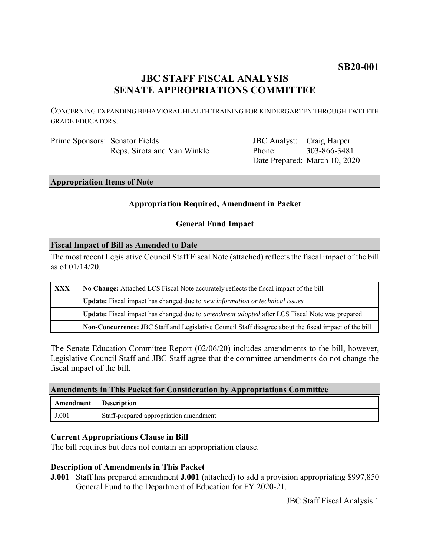# **SB20-001**

# **JBC STAFF FISCAL ANALYSIS SENATE APPROPRIATIONS COMMITTEE**

CONCERNING EXPANDING BEHAVIORAL HEALTH TRAINING FOR KINDERGARTEN THROUGH TWELFTH GRADE EDUCATORS.

Prime Sponsors: Senator Fields Reps. Sirota and Van Winkle

JBC Analyst: Craig Harper Phone: Date Prepared: March 10, 2020 303-866-3481

**Appropriation Items of Note**

### **Appropriation Required, Amendment in Packet**

#### **General Fund Impact**

#### **Fiscal Impact of Bill as Amended to Date**

The most recent Legislative Council Staff Fiscal Note (attached) reflects the fiscal impact of the bill as of 01/14/20.

| <b>XXX</b> | No Change: Attached LCS Fiscal Note accurately reflects the fiscal impact of the bill                       |
|------------|-------------------------------------------------------------------------------------------------------------|
|            | <b>Update:</b> Fiscal impact has changed due to new information or technical issues                         |
|            | <b>Update:</b> Fiscal impact has changed due to <i>amendment adopted</i> after LCS Fiscal Note was prepared |
|            | Non-Concurrence: JBC Staff and Legislative Council Staff disagree about the fiscal impact of the bill       |

The Senate Education Committee Report (02/06/20) includes amendments to the bill, however, Legislative Council Staff and JBC Staff agree that the committee amendments do not change the fiscal impact of the bill.

| <b>Amendments in This Packet for Consideration by Appropriations Committee</b> |                                        |  |
|--------------------------------------------------------------------------------|----------------------------------------|--|
| <b>Amendment</b> Description                                                   |                                        |  |
| J.001                                                                          | Staff-prepared appropriation amendment |  |

#### **Current Appropriations Clause in Bill**

The bill requires but does not contain an appropriation clause.

## **Description of Amendments in This Packet**

**J.001** Staff has prepared amendment **J.001** (attached) to add a provision appropriating \$997,850 General Fund to the Department of Education for FY 2020-21.

JBC Staff Fiscal Analysis 1